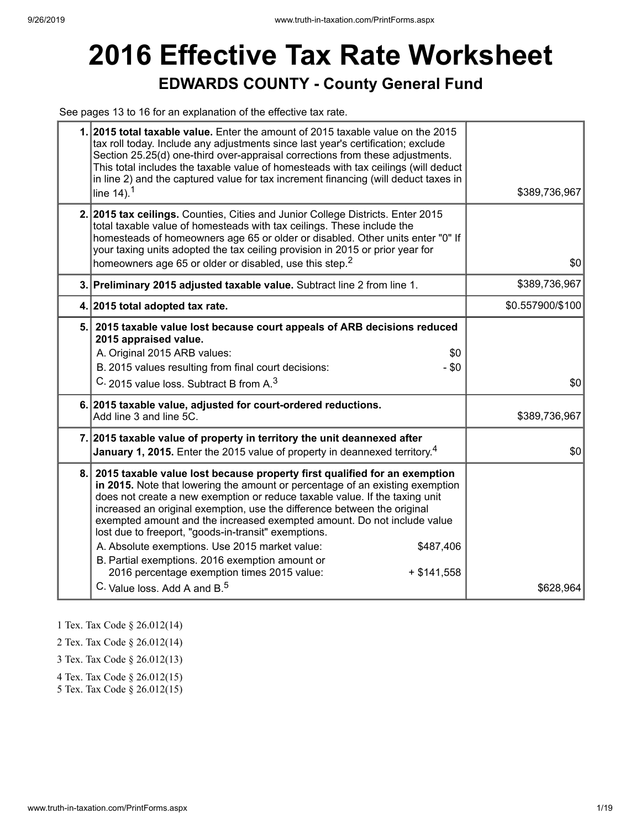# **2016 Effective Tax Rate Worksheet EDWARDS COUNTY - County General Fund**

See pages 13 to 16 for an explanation of the effective tax rate.

|    | 1. 2015 total taxable value. Enter the amount of 2015 taxable value on the 2015<br>tax roll today. Include any adjustments since last year's certification; exclude<br>Section 25.25(d) one-third over-appraisal corrections from these adjustments.<br>This total includes the taxable value of homesteads with tax ceilings (will deduct<br>in line 2) and the captured value for tax increment financing (will deduct taxes in<br>line $14$ ). <sup>1</sup>                                                                                                                                                                                                                         | \$389,736,967    |
|----|----------------------------------------------------------------------------------------------------------------------------------------------------------------------------------------------------------------------------------------------------------------------------------------------------------------------------------------------------------------------------------------------------------------------------------------------------------------------------------------------------------------------------------------------------------------------------------------------------------------------------------------------------------------------------------------|------------------|
|    | 2. 2015 tax ceilings. Counties, Cities and Junior College Districts. Enter 2015<br>total taxable value of homesteads with tax ceilings. These include the<br>homesteads of homeowners age 65 or older or disabled. Other units enter "0" If<br>your taxing units adopted the tax ceiling provision in 2015 or prior year for<br>homeowners age 65 or older or disabled, use this step. <sup>2</sup>                                                                                                                                                                                                                                                                                    | \$0              |
|    | 3. Preliminary 2015 adjusted taxable value. Subtract line 2 from line 1.                                                                                                                                                                                                                                                                                                                                                                                                                                                                                                                                                                                                               | \$389,736,967    |
|    | 4. 2015 total adopted tax rate.                                                                                                                                                                                                                                                                                                                                                                                                                                                                                                                                                                                                                                                        | \$0.557900/\$100 |
|    | 5. 2015 taxable value lost because court appeals of ARB decisions reduced<br>2015 appraised value.<br>A. Original 2015 ARB values:<br>\$0<br>B. 2015 values resulting from final court decisions:<br>- \$0<br>C. 2015 value loss. Subtract B from A. <sup>3</sup>                                                                                                                                                                                                                                                                                                                                                                                                                      | \$0              |
|    | 6. 2015 taxable value, adjusted for court-ordered reductions.<br>Add line 3 and line 5C.                                                                                                                                                                                                                                                                                                                                                                                                                                                                                                                                                                                               | \$389,736,967    |
|    | 7. 2015 taxable value of property in territory the unit deannexed after<br><b>January 1, 2015.</b> Enter the 2015 value of property in deannexed territory. <sup>4</sup>                                                                                                                                                                                                                                                                                                                                                                                                                                                                                                               | \$0              |
| 8. | 2015 taxable value lost because property first qualified for an exemption<br>in 2015. Note that lowering the amount or percentage of an existing exemption<br>does not create a new exemption or reduce taxable value. If the taxing unit<br>increased an original exemption, use the difference between the original<br>exempted amount and the increased exempted amount. Do not include value<br>lost due to freeport, "goods-in-transit" exemptions.<br>A. Absolute exemptions. Use 2015 market value:<br>\$487,406<br>B. Partial exemptions. 2016 exemption amount or<br>2016 percentage exemption times 2015 value:<br>$+$ \$141,558<br>C. Value loss, Add A and B. <sup>5</sup> | \$628,964        |

1 Tex. Tax Code § 26.012(14)

2 Tex. Tax Code § 26.012(14)

3 Tex. Tax Code § 26.012(13)

4 Tex. Tax Code § 26.012(15)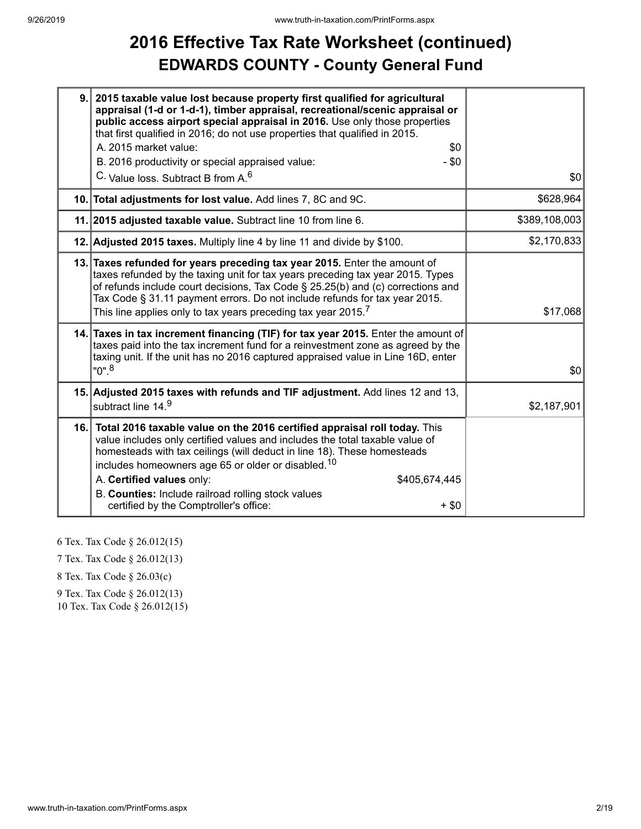## **2016 Effective Tax Rate Worksheet (continued) EDWARDS COUNTY - County General Fund**

| 9.1 | 2015 taxable value lost because property first qualified for agricultural<br>appraisal (1-d or 1-d-1), timber appraisal, recreational/scenic appraisal or<br>public access airport special appraisal in 2016. Use only those properties<br>that first qualified in 2016; do not use properties that qualified in 2015.<br>A. 2015 market value:<br>\$0<br>B. 2016 productivity or special appraised value:<br>$-$ \$0                                               |               |
|-----|---------------------------------------------------------------------------------------------------------------------------------------------------------------------------------------------------------------------------------------------------------------------------------------------------------------------------------------------------------------------------------------------------------------------------------------------------------------------|---------------|
|     | C. Value loss. Subtract B from A. <sup>6</sup>                                                                                                                                                                                                                                                                                                                                                                                                                      | \$0           |
|     | 10. Total adjustments for lost value. Add lines 7, 8C and 9C.                                                                                                                                                                                                                                                                                                                                                                                                       | \$628,964     |
|     | 11. 2015 adjusted taxable value. Subtract line 10 from line 6.                                                                                                                                                                                                                                                                                                                                                                                                      | \$389,108,003 |
|     | 12. Adjusted 2015 taxes. Multiply line 4 by line 11 and divide by \$100.                                                                                                                                                                                                                                                                                                                                                                                            | \$2,170,833   |
|     | 13. Taxes refunded for years preceding tax year 2015. Enter the amount of<br>taxes refunded by the taxing unit for tax years preceding tax year 2015. Types<br>of refunds include court decisions, Tax Code § 25.25(b) and (c) corrections and<br>Tax Code § 31.11 payment errors. Do not include refunds for tax year 2015.<br>This line applies only to tax years preceding tax year 2015. $^7$                                                                   | \$17,068      |
|     | 14. Taxes in tax increment financing (TIF) for tax year 2015. Enter the amount of<br>taxes paid into the tax increment fund for a reinvestment zone as agreed by the<br>taxing unit. If the unit has no 2016 captured appraised value in Line 16D, enter<br>$"0"$ . <sup>8</sup>                                                                                                                                                                                    | \$0           |
|     | 15. Adjusted 2015 taxes with refunds and TIF adjustment. Add lines 12 and 13,<br>subtract line 14.9                                                                                                                                                                                                                                                                                                                                                                 | \$2,187,901   |
|     | 16. Total 2016 taxable value on the 2016 certified appraisal roll today. This<br>value includes only certified values and includes the total taxable value of<br>homesteads with tax ceilings (will deduct in line 18). These homesteads<br>includes homeowners age 65 or older or disabled. <sup>10</sup><br>A. Certified values only:<br>\$405,674,445<br>B. Counties: Include railroad rolling stock values<br>certified by the Comptroller's office:<br>$+$ \$0 |               |

6 Tex. Tax Code § 26.012(15)

7 Tex. Tax Code § 26.012(13)

8 Tex. Tax Code § 26.03(c)

9 Tex. Tax Code § 26.012(13)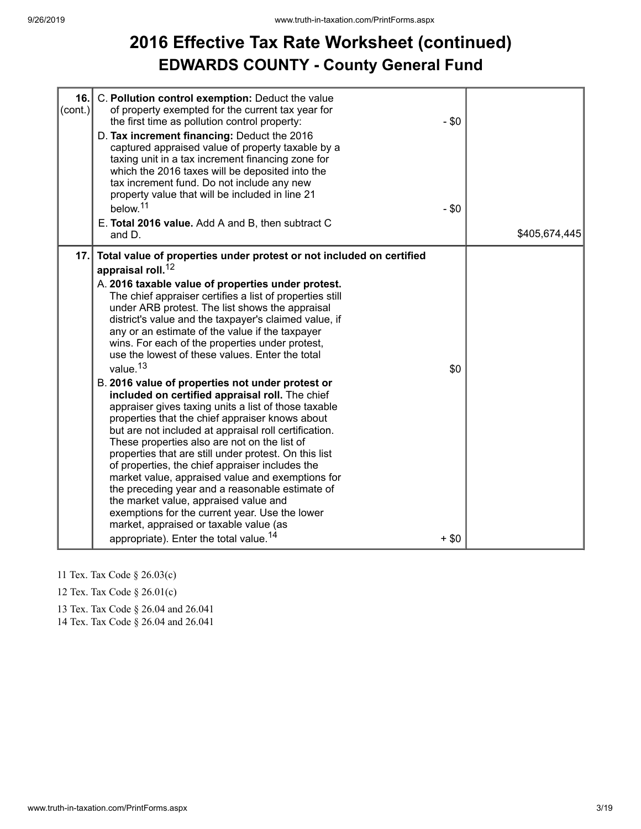## **2016 Effective Tax Rate Worksheet (continued) EDWARDS COUNTY - County General Fund**

| 16.<br>$\text{(cont.)}$ | C. Pollution control exemption: Deduct the value<br>of property exempted for the current tax year for<br>the first time as pollution control property:<br>D. Tax increment financing: Deduct the 2016<br>captured appraised value of property taxable by a<br>taxing unit in a tax increment financing zone for<br>which the 2016 taxes will be deposited into the<br>tax increment fund. Do not include any new<br>property value that will be included in line 21<br>below. <sup>11</sup><br>E. Total 2016 value. Add A and B, then subtract C<br>and D.                                                                                                                                                                                                                                                                                                                                                                                                                                                                                                                                                                                                                                                                                                    | $-$ \$0<br>$-$ \$0 | \$405,674,445 |
|-------------------------|---------------------------------------------------------------------------------------------------------------------------------------------------------------------------------------------------------------------------------------------------------------------------------------------------------------------------------------------------------------------------------------------------------------------------------------------------------------------------------------------------------------------------------------------------------------------------------------------------------------------------------------------------------------------------------------------------------------------------------------------------------------------------------------------------------------------------------------------------------------------------------------------------------------------------------------------------------------------------------------------------------------------------------------------------------------------------------------------------------------------------------------------------------------------------------------------------------------------------------------------------------------|--------------------|---------------|
| 17.                     | Total value of properties under protest or not included on certified<br>appraisal roll. <sup>12</sup><br>A. 2016 taxable value of properties under protest.<br>The chief appraiser certifies a list of properties still<br>under ARB protest. The list shows the appraisal<br>district's value and the taxpayer's claimed value, if<br>any or an estimate of the value if the taxpayer<br>wins. For each of the properties under protest,<br>use the lowest of these values. Enter the total<br>value. <sup>13</sup><br>B. 2016 value of properties not under protest or<br>included on certified appraisal roll. The chief<br>appraiser gives taxing units a list of those taxable<br>properties that the chief appraiser knows about<br>but are not included at appraisal roll certification.<br>These properties also are not on the list of<br>properties that are still under protest. On this list<br>of properties, the chief appraiser includes the<br>market value, appraised value and exemptions for<br>the preceding year and a reasonable estimate of<br>the market value, appraised value and<br>exemptions for the current year. Use the lower<br>market, appraised or taxable value (as<br>appropriate). Enter the total value. <sup>14</sup> | \$0<br>$+$ \$0     |               |

- 11 Tex. Tax Code § 26.03(c)
- 12 Tex. Tax Code § 26.01(c)
- 13 Tex. Tax Code § 26.04 and 26.041

14 Tex. Tax Code § 26.04 and 26.041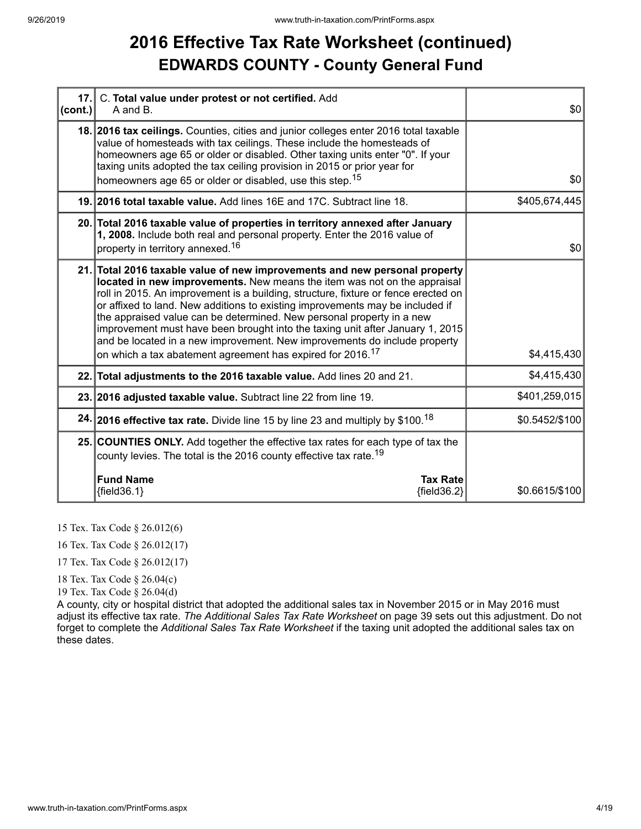#### **2016 Effective Tax Rate Worksheet (continued) EDWARDS COUNTY - County General Fund**

| (cont.) | 17. C. Total value under protest or not certified. Add<br>A and B.                                                                                                                                                                                                                                                                                                                                                                                                                                                                                                                                                                             | \$0            |
|---------|------------------------------------------------------------------------------------------------------------------------------------------------------------------------------------------------------------------------------------------------------------------------------------------------------------------------------------------------------------------------------------------------------------------------------------------------------------------------------------------------------------------------------------------------------------------------------------------------------------------------------------------------|----------------|
|         | 18. 2016 tax ceilings. Counties, cities and junior colleges enter 2016 total taxable<br>value of homesteads with tax ceilings. These include the homesteads of<br>homeowners age 65 or older or disabled. Other taxing units enter "0". If your<br>taxing units adopted the tax ceiling provision in 2015 or prior year for<br>homeowners age 65 or older or disabled, use this step. <sup>15</sup>                                                                                                                                                                                                                                            | \$0            |
|         | 19. 2016 total taxable value. Add lines 16E and 17C. Subtract line 18.                                                                                                                                                                                                                                                                                                                                                                                                                                                                                                                                                                         | \$405,674,445  |
|         | 20. Total 2016 taxable value of properties in territory annexed after January<br>1, 2008. Include both real and personal property. Enter the 2016 value of<br>property in territory annexed. <sup>16</sup>                                                                                                                                                                                                                                                                                                                                                                                                                                     | \$0            |
|         | 21. Total 2016 taxable value of new improvements and new personal property<br>located in new improvements. New means the item was not on the appraisal<br>roll in 2015. An improvement is a building, structure, fixture or fence erected on<br>or affixed to land. New additions to existing improvements may be included if<br>the appraised value can be determined. New personal property in a new<br>improvement must have been brought into the taxing unit after January 1, 2015<br>and be located in a new improvement. New improvements do include property<br>on which a tax abatement agreement has expired for 2016. <sup>17</sup> | \$4,415,430    |
|         | 22. Total adjustments to the 2016 taxable value. Add lines 20 and 21.                                                                                                                                                                                                                                                                                                                                                                                                                                                                                                                                                                          | \$4,415,430    |
|         | 23. 2016 adjusted taxable value. Subtract line 22 from line 19.                                                                                                                                                                                                                                                                                                                                                                                                                                                                                                                                                                                | \$401,259,015  |
|         | 24. 2016 effective tax rate. Divide line 15 by line 23 and multiply by \$100. <sup>18</sup>                                                                                                                                                                                                                                                                                                                                                                                                                                                                                                                                                    | \$0.5452/\$100 |
|         | 25. COUNTIES ONLY. Add together the effective tax rates for each type of tax the<br>county levies. The total is the 2016 county effective tax rate. <sup>19</sup>                                                                                                                                                                                                                                                                                                                                                                                                                                                                              |                |
|         | <b>Fund Name</b><br><b>Tax Rate</b><br>${field36.1}$<br>${fields2}$                                                                                                                                                                                                                                                                                                                                                                                                                                                                                                                                                                            | \$0.6615/\$100 |

15 Tex. Tax Code § 26.012(6)

16 Tex. Tax Code § 26.012(17)

17 Tex. Tax Code § 26.012(17)

18 Tex. Tax Code § 26.04(c)

19 Tex. Tax Code § 26.04(d)

A county, city or hospital district that adopted the additional sales tax in November 2015 or in May 2016 must adjust its effective tax rate. *The Additional Sales Tax Rate Worksheet* on page 39 sets out this adjustment. Do not forget to complete the *Additional Sales Tax Rate Worksheet* if the taxing unit adopted the additional sales tax on these dates.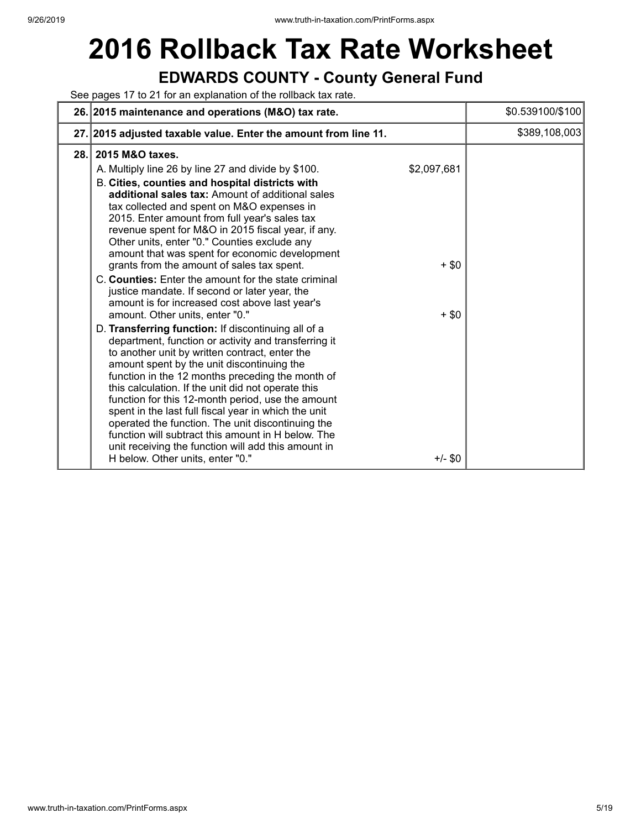# **2016 Rollback Tax Rate Worksheet**

#### **EDWARDS COUNTY - County General Fund**

See pages 17 to 21 for an explanation of the rollback tax rate.

|      | 26. 2015 maintenance and operations (M&O) tax rate.                                                                                                                                                                                                                                                                                                                                                                                                                                                                                                                                                                                                                                                                                                                                                                                                                                                                                                                                                                                                                                                                                                                                                                                                                                                                          |                                                | \$0.539100/\$100 |
|------|------------------------------------------------------------------------------------------------------------------------------------------------------------------------------------------------------------------------------------------------------------------------------------------------------------------------------------------------------------------------------------------------------------------------------------------------------------------------------------------------------------------------------------------------------------------------------------------------------------------------------------------------------------------------------------------------------------------------------------------------------------------------------------------------------------------------------------------------------------------------------------------------------------------------------------------------------------------------------------------------------------------------------------------------------------------------------------------------------------------------------------------------------------------------------------------------------------------------------------------------------------------------------------------------------------------------------|------------------------------------------------|------------------|
|      | 27. 2015 adjusted taxable value. Enter the amount from line 11.                                                                                                                                                                                                                                                                                                                                                                                                                                                                                                                                                                                                                                                                                                                                                                                                                                                                                                                                                                                                                                                                                                                                                                                                                                                              |                                                | \$389,108,003    |
| 28.1 | 2015 M&O taxes.<br>A. Multiply line 26 by line 27 and divide by \$100.<br>B. Cities, counties and hospital districts with<br>additional sales tax: Amount of additional sales<br>tax collected and spent on M&O expenses in<br>2015. Enter amount from full year's sales tax<br>revenue spent for M&O in 2015 fiscal year, if any.<br>Other units, enter "0." Counties exclude any<br>amount that was spent for economic development<br>grants from the amount of sales tax spent.<br>C. Counties: Enter the amount for the state criminal<br>justice mandate. If second or later year, the<br>amount is for increased cost above last year's<br>amount. Other units, enter "0."<br>D. Transferring function: If discontinuing all of a<br>department, function or activity and transferring it<br>to another unit by written contract, enter the<br>amount spent by the unit discontinuing the<br>function in the 12 months preceding the month of<br>this calculation. If the unit did not operate this<br>function for this 12-month period, use the amount<br>spent in the last full fiscal year in which the unit<br>operated the function. The unit discontinuing the<br>function will subtract this amount in H below. The<br>unit receiving the function will add this amount in<br>H below. Other units, enter "0." | \$2,097,681<br>$+$ \$0<br>$+$ \$0<br>$+/-$ \$0 |                  |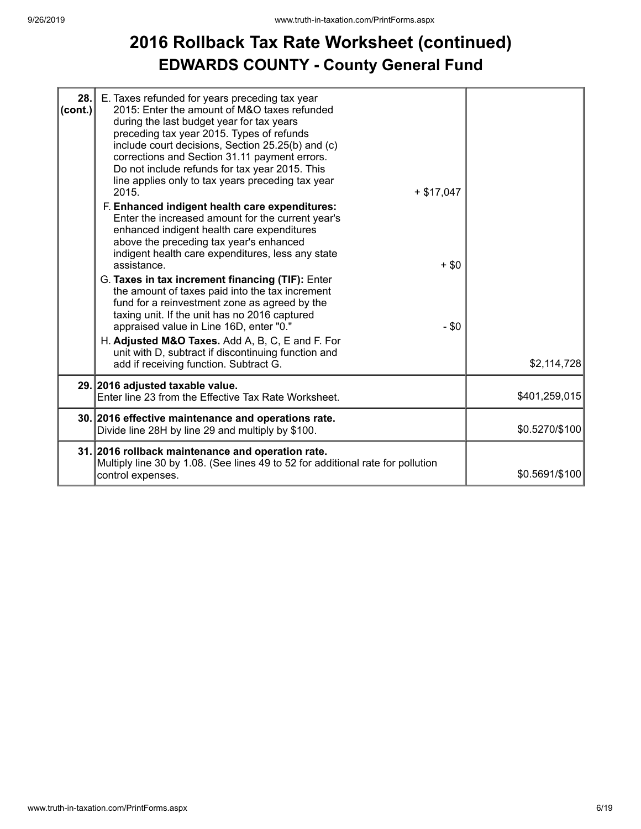#### **2016 Rollback Tax Rate Worksheet (continued) EDWARDS COUNTY - County General Fund**

| 28.<br>(cont.) | E. Taxes refunded for years preceding tax year<br>2015: Enter the amount of M&O taxes refunded<br>during the last budget year for tax years<br>preceding tax year 2015. Types of refunds<br>include court decisions, Section 25.25(b) and (c)<br>corrections and Section 31.11 payment errors.<br>Do not include refunds for tax year 2015. This<br>line applies only to tax years preceding tax year<br>$+ $17,047$<br>2015.<br>F. Enhanced indigent health care expenditures:<br>Enter the increased amount for the current year's<br>enhanced indigent health care expenditures<br>above the preceding tax year's enhanced<br>indigent health care expenditures, less any state<br>assistance.<br>G. Taxes in tax increment financing (TIF): Enter<br>the amount of taxes paid into the tax increment<br>fund for a reinvestment zone as agreed by the<br>taxing unit. If the unit has no 2016 captured<br>appraised value in Line 16D, enter "0."<br>H. Adjusted M&O Taxes. Add A, B, C, E and F. For<br>unit with D, subtract if discontinuing function and | $+$ \$0<br>$-$ \$0 |
|----------------|------------------------------------------------------------------------------------------------------------------------------------------------------------------------------------------------------------------------------------------------------------------------------------------------------------------------------------------------------------------------------------------------------------------------------------------------------------------------------------------------------------------------------------------------------------------------------------------------------------------------------------------------------------------------------------------------------------------------------------------------------------------------------------------------------------------------------------------------------------------------------------------------------------------------------------------------------------------------------------------------------------------------------------------------------------------|--------------------|
|                | add if receiving function. Subtract G.<br>29. 2016 adjusted taxable value.                                                                                                                                                                                                                                                                                                                                                                                                                                                                                                                                                                                                                                                                                                                                                                                                                                                                                                                                                                                       | \$2,114,728        |
|                | Enter line 23 from the Effective Tax Rate Worksheet.                                                                                                                                                                                                                                                                                                                                                                                                                                                                                                                                                                                                                                                                                                                                                                                                                                                                                                                                                                                                             | \$401,259,015      |
|                | 30. 2016 effective maintenance and operations rate.<br>Divide line 28H by line 29 and multiply by \$100.                                                                                                                                                                                                                                                                                                                                                                                                                                                                                                                                                                                                                                                                                                                                                                                                                                                                                                                                                         | \$0.5270/\$100     |
|                | 31. 2016 rollback maintenance and operation rate.<br>Multiply line 30 by 1.08. (See lines 49 to 52 for additional rate for pollution<br>control expenses.                                                                                                                                                                                                                                                                                                                                                                                                                                                                                                                                                                                                                                                                                                                                                                                                                                                                                                        | \$0.5691/\$100     |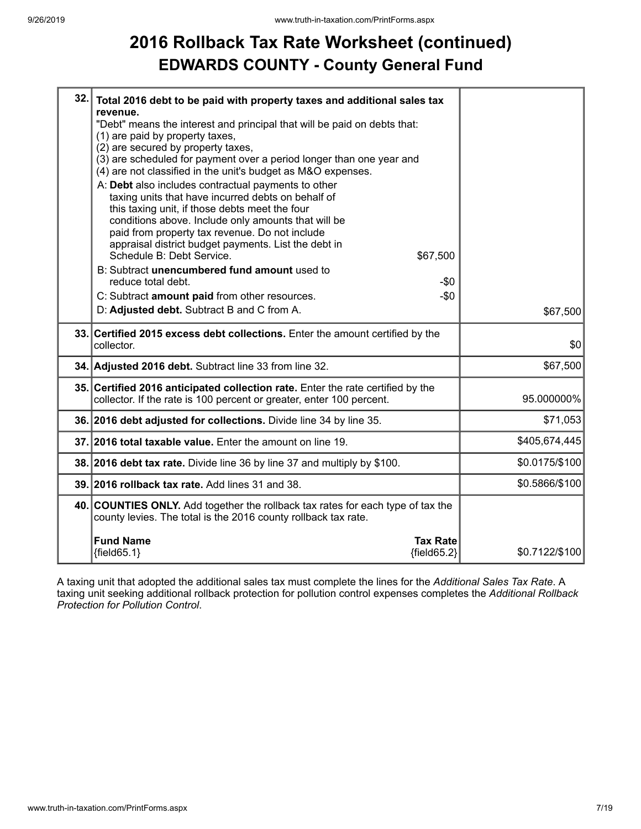## **2016 Rollback Tax Rate Worksheet (continued) EDWARDS COUNTY - County General Fund**

| 32. | Total 2016 debt to be paid with property taxes and additional sales tax<br>revenue.                                                                                                                                                                                                                                                                                   |                |
|-----|-----------------------------------------------------------------------------------------------------------------------------------------------------------------------------------------------------------------------------------------------------------------------------------------------------------------------------------------------------------------------|----------------|
|     | "Debt" means the interest and principal that will be paid on debts that:<br>(1) are paid by property taxes,<br>(2) are secured by property taxes,                                                                                                                                                                                                                     |                |
|     | (3) are scheduled for payment over a period longer than one year and<br>(4) are not classified in the unit's budget as M&O expenses.                                                                                                                                                                                                                                  |                |
|     | A: Debt also includes contractual payments to other<br>taxing units that have incurred debts on behalf of<br>this taxing unit, if those debts meet the four<br>conditions above. Include only amounts that will be<br>paid from property tax revenue. Do not include<br>appraisal district budget payments. List the debt in<br>Schedule B: Debt Service.<br>\$67,500 |                |
|     | B: Subtract unencumbered fund amount used to<br>reduce total debt.<br>-\$0                                                                                                                                                                                                                                                                                            |                |
|     | $-\$0$<br>C: Subtract amount paid from other resources.                                                                                                                                                                                                                                                                                                               |                |
|     | D: Adjusted debt. Subtract B and C from A.                                                                                                                                                                                                                                                                                                                            | \$67,500       |
|     | 33. Certified 2015 excess debt collections. Enter the amount certified by the<br>collector.                                                                                                                                                                                                                                                                           | \$0            |
|     | 34. Adjusted 2016 debt. Subtract line 33 from line 32.                                                                                                                                                                                                                                                                                                                | \$67,500       |
|     | 35. Certified 2016 anticipated collection rate. Enter the rate certified by the<br>collector. If the rate is 100 percent or greater, enter 100 percent.                                                                                                                                                                                                               | 95.000000%     |
|     | 36. 2016 debt adjusted for collections. Divide line 34 by line 35.                                                                                                                                                                                                                                                                                                    | \$71,053       |
|     | 37. 2016 total taxable value. Enter the amount on line 19.                                                                                                                                                                                                                                                                                                            | \$405,674,445  |
|     | 38. 2016 debt tax rate. Divide line 36 by line 37 and multiply by \$100.                                                                                                                                                                                                                                                                                              | \$0.0175/\$100 |
|     | 39. 2016 rollback tax rate. Add lines 31 and 38.                                                                                                                                                                                                                                                                                                                      | \$0.5866/\$100 |
|     | 40. COUNTIES ONLY. Add together the rollback tax rates for each type of tax the<br>county levies. The total is the 2016 county rollback tax rate.                                                                                                                                                                                                                     |                |
|     | <b>Fund Name</b><br><b>Tax Rate</b>                                                                                                                                                                                                                                                                                                                                   |                |

A taxing unit that adopted the additional sales tax must complete the lines for the *Additional Sales Tax Rate*. A taxing unit seeking additional rollback protection for pollution control expenses completes the *Additional Rollback Protection for Pollution Control*.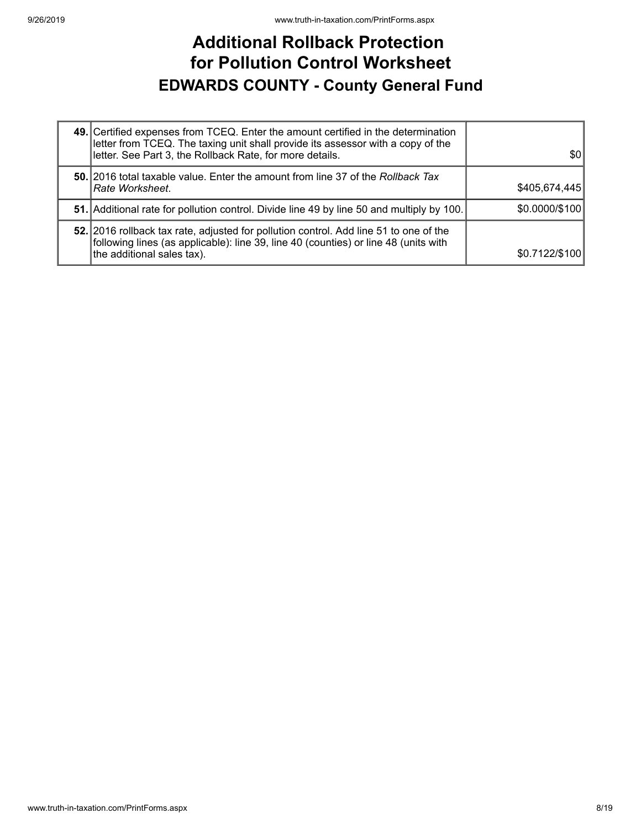#### **Additional Rollback Protection for Pollution Control Worksheet EDWARDS COUNTY - County General Fund**

| 49. Certified expenses from TCEQ. Enter the amount certified in the determination<br>letter from TCEQ. The taxing unit shall provide its assessor with a copy of the<br>letter. See Part 3, the Rollback Rate, for more details. | 30             |
|----------------------------------------------------------------------------------------------------------------------------------------------------------------------------------------------------------------------------------|----------------|
| 50. 2016 total taxable value. Enter the amount from line 37 of the Rollback Tax<br>Rate Worksheet.                                                                                                                               | \$405,674,445  |
| 51. Additional rate for pollution control. Divide line 49 by line 50 and multiply by 100.                                                                                                                                        | \$0.0000/\$100 |
| 52. 2016 rollback tax rate, adjusted for pollution control. Add line 51 to one of the<br>following lines (as applicable): line 39, line 40 (counties) or line 48 (units with<br>the additional sales tax).                       | \$0.7122/\$100 |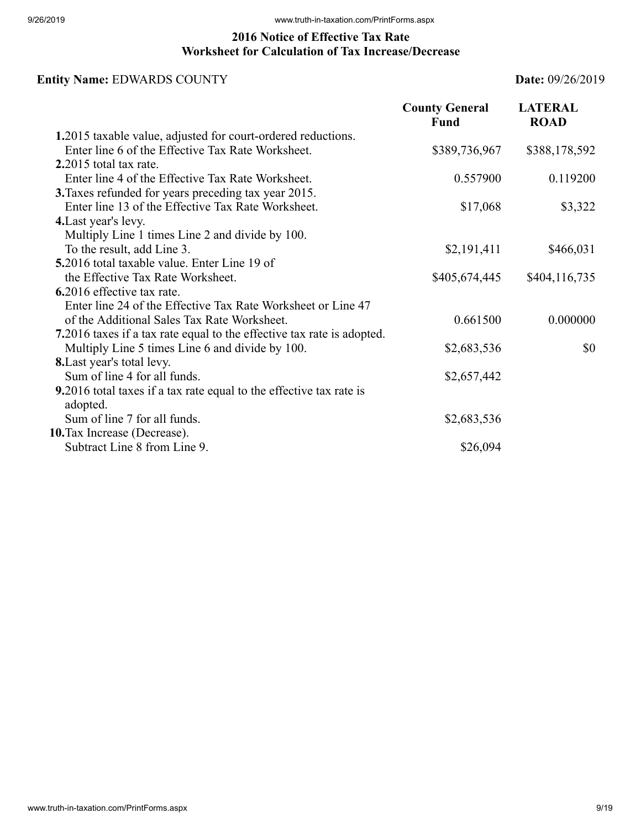#### **2016 Notice of Effective Tax Rate Worksheet for Calculation of Tax Increase/Decrease**

#### **Entity Name:** EDWARDS COUNTY **Date:** 09/26/2019

|                                                                                 | <b>County General</b><br>Fund | <b>LATERAL</b><br><b>ROAD</b> |
|---------------------------------------------------------------------------------|-------------------------------|-------------------------------|
| 1.2015 taxable value, adjusted for court-ordered reductions.                    |                               |                               |
| Enter line 6 of the Effective Tax Rate Worksheet.                               | \$389,736,967                 | \$388,178,592                 |
| 2.2015 total tax rate.                                                          |                               |                               |
| Enter line 4 of the Effective Tax Rate Worksheet.                               | 0.557900                      | 0.119200                      |
| 3. Taxes refunded for years preceding tax year 2015.                            |                               |                               |
| Enter line 13 of the Effective Tax Rate Worksheet.                              | \$17,068                      | \$3,322                       |
| 4. Last year's levy.                                                            |                               |                               |
| Multiply Line 1 times Line 2 and divide by 100.                                 |                               |                               |
| To the result, add Line 3.                                                      | \$2,191,411                   | \$466,031                     |
| 5.2016 total taxable value. Enter Line 19 of                                    |                               |                               |
| the Effective Tax Rate Worksheet.                                               | \$405,674,445                 | \$404,116,735                 |
| 6.2016 effective tax rate.                                                      |                               |                               |
| Enter line 24 of the Effective Tax Rate Worksheet or Line 47                    |                               |                               |
| of the Additional Sales Tax Rate Worksheet.                                     | 0.661500                      | 0.000000                      |
| 7.2016 taxes if a tax rate equal to the effective tax rate is adopted.          |                               |                               |
| Multiply Line 5 times Line 6 and divide by 100.                                 | \$2,683,536                   | \$0                           |
| <b>8.</b> Last year's total levy.                                               |                               |                               |
| Sum of line 4 for all funds.                                                    | \$2,657,442                   |                               |
| 9.2016 total taxes if a tax rate equal to the effective tax rate is<br>adopted. |                               |                               |
| Sum of line 7 for all funds.                                                    | \$2,683,536                   |                               |
| 10. Tax Increase (Decrease).                                                    |                               |                               |
| Subtract Line 8 from Line 9.                                                    | \$26,094                      |                               |
|                                                                                 |                               |                               |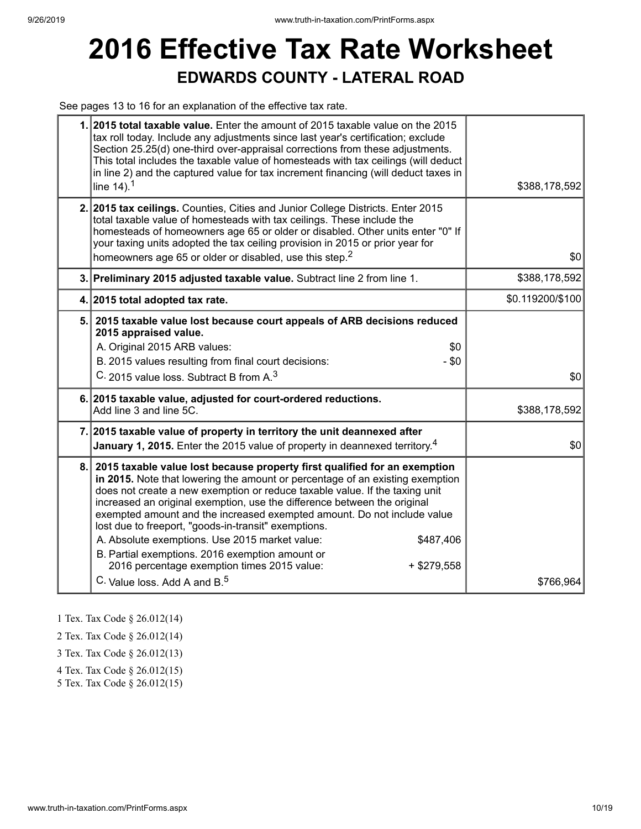## **2016 Effective Tax Rate Worksheet EDWARDS COUNTY - LATERAL ROAD**

See pages 13 to 16 for an explanation of the effective tax rate.

| 1. 2015 total taxable value. Enter the amount of 2015 taxable value on the 2015<br>tax roll today. Include any adjustments since last year's certification; exclude<br>Section 25.25(d) one-third over-appraisal corrections from these adjustments.<br>This total includes the taxable value of homesteads with tax ceilings (will deduct<br>in line 2) and the captured value for tax increment financing (will deduct taxes in<br>line $14$ ). <sup>1</sup>                                                                                                                                                                                                                            | \$388,178,592    |
|-------------------------------------------------------------------------------------------------------------------------------------------------------------------------------------------------------------------------------------------------------------------------------------------------------------------------------------------------------------------------------------------------------------------------------------------------------------------------------------------------------------------------------------------------------------------------------------------------------------------------------------------------------------------------------------------|------------------|
| 2. 2015 tax ceilings. Counties, Cities and Junior College Districts. Enter 2015<br>total taxable value of homesteads with tax ceilings. These include the<br>homesteads of homeowners age 65 or older or disabled. Other units enter "0" If<br>your taxing units adopted the tax ceiling provision in 2015 or prior year for<br>homeowners age 65 or older or disabled, use this step. <sup>2</sup>                                                                                                                                                                                                                                                                                       | \$0              |
| 3. Preliminary 2015 adjusted taxable value. Subtract line 2 from line 1.                                                                                                                                                                                                                                                                                                                                                                                                                                                                                                                                                                                                                  | \$388,178,592    |
| 4. 2015 total adopted tax rate.                                                                                                                                                                                                                                                                                                                                                                                                                                                                                                                                                                                                                                                           | \$0.119200/\$100 |
| 5. 2015 taxable value lost because court appeals of ARB decisions reduced<br>2015 appraised value.<br>A. Original 2015 ARB values:<br>\$0<br>B. 2015 values resulting from final court decisions:<br>$-$ \$0<br>C. 2015 value loss. Subtract B from A. <sup>3</sup>                                                                                                                                                                                                                                                                                                                                                                                                                       | \$0              |
| 6. 2015 taxable value, adjusted for court-ordered reductions.<br>Add line 3 and line 5C.                                                                                                                                                                                                                                                                                                                                                                                                                                                                                                                                                                                                  | \$388,178,592    |
| 7. 2015 taxable value of property in territory the unit deannexed after<br>January 1, 2015. Enter the 2015 value of property in deannexed territory. <sup>4</sup>                                                                                                                                                                                                                                                                                                                                                                                                                                                                                                                         | \$0              |
| 8. 2015 taxable value lost because property first qualified for an exemption<br>in 2015. Note that lowering the amount or percentage of an existing exemption<br>does not create a new exemption or reduce taxable value. If the taxing unit<br>increased an original exemption, use the difference between the original<br>exempted amount and the increased exempted amount. Do not include value<br>lost due to freeport, "goods-in-transit" exemptions.<br>A. Absolute exemptions. Use 2015 market value:<br>\$487,406<br>B. Partial exemptions. 2016 exemption amount or<br>2016 percentage exemption times 2015 value:<br>$+$ \$279,558<br>C. Value loss, Add A and B. <sup>5</sup> | \$766,964        |

1 Tex. Tax Code § 26.012(14)

2 Tex. Tax Code § 26.012(14)

3 Tex. Tax Code § 26.012(13)

4 Tex. Tax Code § 26.012(15)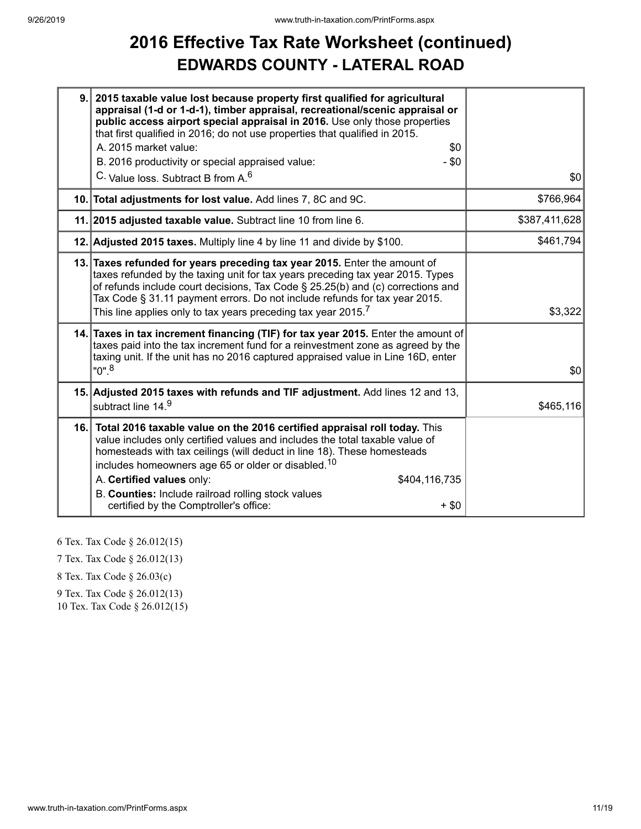### **2016 Effective Tax Rate Worksheet (continued) EDWARDS COUNTY - LATERAL ROAD**

| 9. | 2015 taxable value lost because property first qualified for agricultural<br>appraisal (1-d or 1-d-1), timber appraisal, recreational/scenic appraisal or<br>public access airport special appraisal in 2016. Use only those properties<br>that first qualified in 2016; do not use properties that qualified in 2015.<br>A. 2015 market value:<br>\$0<br>$-$ \$0<br>B. 2016 productivity or special appraised value:<br>C. Value loss. Subtract B from A. <sup>6</sup> | \$0           |
|----|-------------------------------------------------------------------------------------------------------------------------------------------------------------------------------------------------------------------------------------------------------------------------------------------------------------------------------------------------------------------------------------------------------------------------------------------------------------------------|---------------|
|    | 10. Total adjustments for lost value. Add lines 7, 8C and 9C.                                                                                                                                                                                                                                                                                                                                                                                                           | \$766,964     |
|    | 11. 2015 adjusted taxable value. Subtract line 10 from line 6.                                                                                                                                                                                                                                                                                                                                                                                                          | \$387,411,628 |
|    | 12. Adjusted 2015 taxes. Multiply line 4 by line 11 and divide by \$100.                                                                                                                                                                                                                                                                                                                                                                                                | \$461,794     |
|    | 13. Taxes refunded for years preceding tax year 2015. Enter the amount of<br>taxes refunded by the taxing unit for tax years preceding tax year 2015. Types<br>of refunds include court decisions, Tax Code § 25.25(b) and (c) corrections and<br>Tax Code § 31.11 payment errors. Do not include refunds for tax year 2015.<br>This line applies only to tax years preceding tax year 2015. $^7$                                                                       | \$3,322       |
|    | 14. Taxes in tax increment financing (TIF) for tax year 2015. Enter the amount of<br>taxes paid into the tax increment fund for a reinvestment zone as agreed by the<br>taxing unit. If the unit has no 2016 captured appraised value in Line 16D, enter<br>"0". <sup>8</sup>                                                                                                                                                                                           | \$0           |
|    | 15. Adjusted 2015 taxes with refunds and TIF adjustment. Add lines 12 and 13,<br>subtract line 14.9                                                                                                                                                                                                                                                                                                                                                                     | \$465,116     |
|    | 16. Total 2016 taxable value on the 2016 certified appraisal roll today. This<br>value includes only certified values and includes the total taxable value of<br>homesteads with tax ceilings (will deduct in line 18). These homesteads<br>includes homeowners age 65 or older or disabled. <sup>10</sup><br>A. Certified values only:<br>\$404,116,735<br>B. Counties: Include railroad rolling stock values<br>certified by the Comptroller's office:<br>$+$ \$0     |               |

6 Tex. Tax Code § 26.012(15)

7 Tex. Tax Code § 26.012(13)

8 Tex. Tax Code § 26.03(c)

9 Tex. Tax Code § 26.012(13)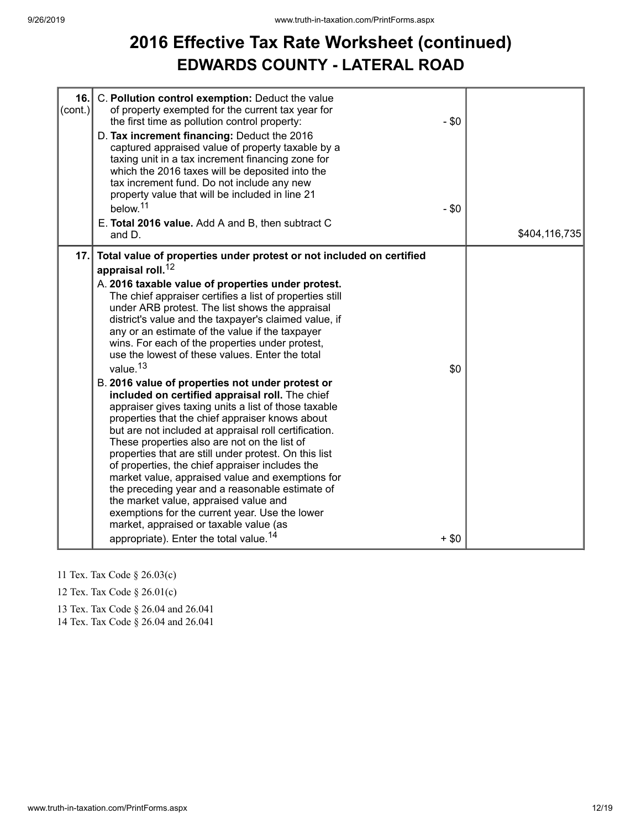## **2016 Effective Tax Rate Worksheet (continued) EDWARDS COUNTY - LATERAL ROAD**

| 16.<br>$\text{(cont.)}$ | C. Pollution control exemption: Deduct the value<br>of property exempted for the current tax year for<br>the first time as pollution control property:<br>D. Tax increment financing: Deduct the 2016<br>captured appraised value of property taxable by a<br>taxing unit in a tax increment financing zone for<br>which the 2016 taxes will be deposited into the<br>tax increment fund. Do not include any new<br>property value that will be included in line 21<br>below. <sup>11</sup><br>E. Total 2016 value. Add A and B, then subtract C<br>and D.                                                                                                                                                                                                                                                                                                                                                                                                                                                                                                                                                                                                                                                                                                    | $-$ \$0<br>$-$ \$0 | \$404,116,735 |
|-------------------------|---------------------------------------------------------------------------------------------------------------------------------------------------------------------------------------------------------------------------------------------------------------------------------------------------------------------------------------------------------------------------------------------------------------------------------------------------------------------------------------------------------------------------------------------------------------------------------------------------------------------------------------------------------------------------------------------------------------------------------------------------------------------------------------------------------------------------------------------------------------------------------------------------------------------------------------------------------------------------------------------------------------------------------------------------------------------------------------------------------------------------------------------------------------------------------------------------------------------------------------------------------------|--------------------|---------------|
| 17.1                    | Total value of properties under protest or not included on certified<br>appraisal roll. <sup>12</sup><br>A. 2016 taxable value of properties under protest.<br>The chief appraiser certifies a list of properties still<br>under ARB protest. The list shows the appraisal<br>district's value and the taxpayer's claimed value, if<br>any or an estimate of the value if the taxpayer<br>wins. For each of the properties under protest,<br>use the lowest of these values. Enter the total<br>value. <sup>13</sup><br>B. 2016 value of properties not under protest or<br>included on certified appraisal roll. The chief<br>appraiser gives taxing units a list of those taxable<br>properties that the chief appraiser knows about<br>but are not included at appraisal roll certification.<br>These properties also are not on the list of<br>properties that are still under protest. On this list<br>of properties, the chief appraiser includes the<br>market value, appraised value and exemptions for<br>the preceding year and a reasonable estimate of<br>the market value, appraised value and<br>exemptions for the current year. Use the lower<br>market, appraised or taxable value (as<br>appropriate). Enter the total value. <sup>14</sup> | \$0<br>$+$ \$0     |               |

- 11 Tex. Tax Code § 26.03(c)
- 12 Tex. Tax Code § 26.01(c)

13 Tex. Tax Code § 26.04 and 26.041

14 Tex. Tax Code § 26.04 and 26.041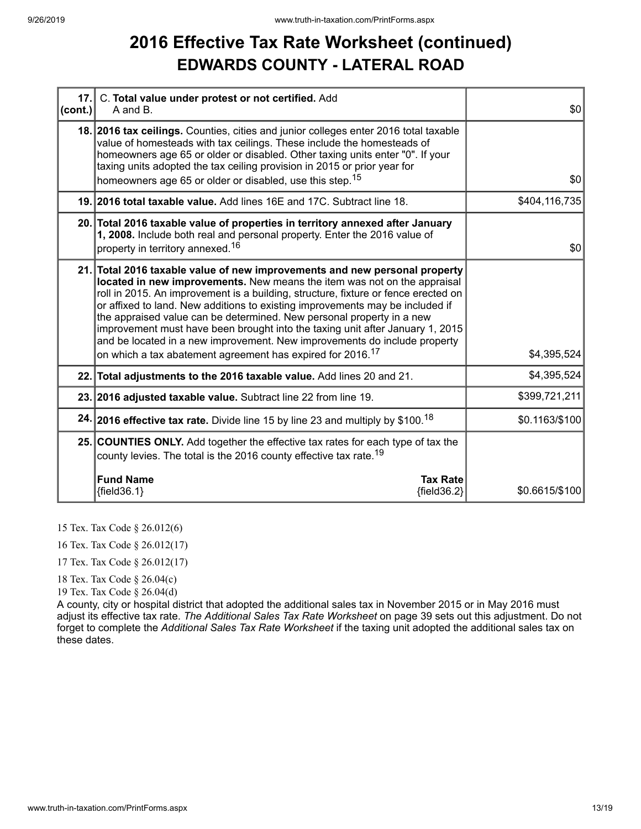#### **2016 Effective Tax Rate Worksheet (continued) EDWARDS COUNTY - LATERAL ROAD**

| 17.1<br> cont. | C. Total value under protest or not certified. Add<br>A and B.                                                                                                                                                                                                                                                                                                                                                                                                                                                                                                                                                                                 | \$0            |
|----------------|------------------------------------------------------------------------------------------------------------------------------------------------------------------------------------------------------------------------------------------------------------------------------------------------------------------------------------------------------------------------------------------------------------------------------------------------------------------------------------------------------------------------------------------------------------------------------------------------------------------------------------------------|----------------|
|                | 18. 2016 tax ceilings. Counties, cities and junior colleges enter 2016 total taxable<br>value of homesteads with tax ceilings. These include the homesteads of<br>homeowners age 65 or older or disabled. Other taxing units enter "0". If your<br>taxing units adopted the tax ceiling provision in 2015 or prior year for<br>homeowners age 65 or older or disabled, use this step. <sup>15</sup>                                                                                                                                                                                                                                            | \$0            |
|                | 19. 2016 total taxable value. Add lines 16E and 17C. Subtract line 18.                                                                                                                                                                                                                                                                                                                                                                                                                                                                                                                                                                         | \$404,116,735  |
|                | 20. Total 2016 taxable value of properties in territory annexed after January<br>1, 2008. Include both real and personal property. Enter the 2016 value of<br>property in territory annexed. <sup>16</sup>                                                                                                                                                                                                                                                                                                                                                                                                                                     | \$0            |
|                | 21. Total 2016 taxable value of new improvements and new personal property<br>located in new improvements. New means the item was not on the appraisal<br>roll in 2015. An improvement is a building, structure, fixture or fence erected on<br>or affixed to land. New additions to existing improvements may be included if<br>the appraised value can be determined. New personal property in a new<br>improvement must have been brought into the taxing unit after January 1, 2015<br>and be located in a new improvement. New improvements do include property<br>on which a tax abatement agreement has expired for 2016. <sup>17</sup> | \$4,395,524    |
|                | 22. Total adjustments to the 2016 taxable value. Add lines 20 and 21.                                                                                                                                                                                                                                                                                                                                                                                                                                                                                                                                                                          | \$4,395,524    |
|                | 23. 2016 adjusted taxable value. Subtract line 22 from line 19.                                                                                                                                                                                                                                                                                                                                                                                                                                                                                                                                                                                | \$399,721,211  |
|                | 24. 2016 effective tax rate. Divide line 15 by line 23 and multiply by \$100. <sup>18</sup>                                                                                                                                                                                                                                                                                                                                                                                                                                                                                                                                                    | \$0.1163/\$100 |
|                | 25. COUNTIES ONLY. Add together the effective tax rates for each type of tax the<br>county levies. The total is the 2016 county effective tax rate. <sup>19</sup>                                                                                                                                                                                                                                                                                                                                                                                                                                                                              |                |
|                | <b>Fund Name</b><br><b>Tax Rate</b><br>${fields.1}$<br>${fields2}$                                                                                                                                                                                                                                                                                                                                                                                                                                                                                                                                                                             | \$0.6615/\$100 |

15 Tex. Tax Code § 26.012(6)

16 Tex. Tax Code § 26.012(17)

17 Tex. Tax Code § 26.012(17)

18 Tex. Tax Code § 26.04(c)

19 Tex. Tax Code § 26.04(d)

A county, city or hospital district that adopted the additional sales tax in November 2015 or in May 2016 must adjust its effective tax rate. *The Additional Sales Tax Rate Worksheet* on page 39 sets out this adjustment. Do not forget to complete the *Additional Sales Tax Rate Worksheet* if the taxing unit adopted the additional sales tax on these dates.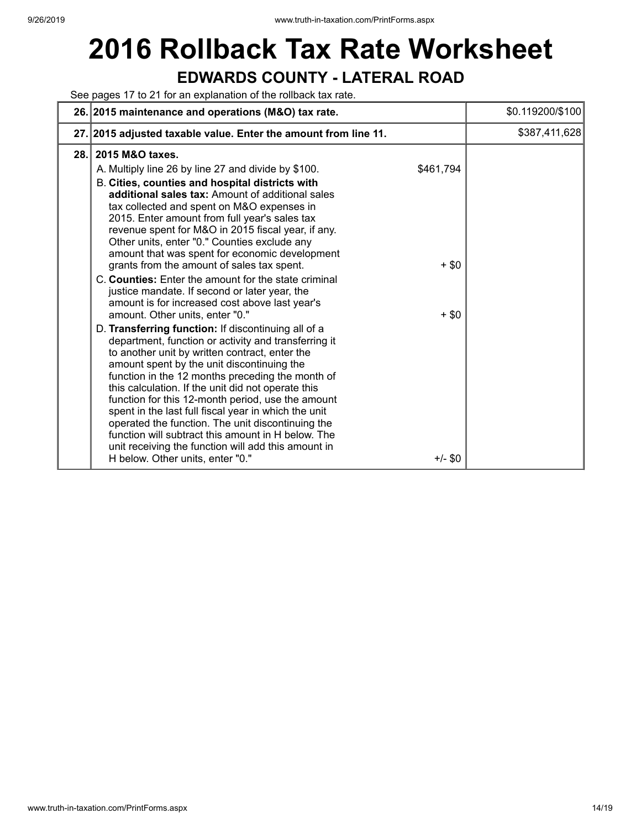# **2016 Rollback Tax Rate Worksheet EDWARDS COUNTY - LATERAL ROAD**

See pages 17 to 21 for an explanation of the rollback tax rate.

|      | 26. 2015 maintenance and operations (M&O) tax rate.                                                                                                                                                                                                                                                                                                                                                                                                                                                                                                                                                                                                                                                                                                                                                                                                                                                                                                                                                                                                                                                                                                                                                                                                                                                                                                                          | \$0.119200/\$100 |
|------|------------------------------------------------------------------------------------------------------------------------------------------------------------------------------------------------------------------------------------------------------------------------------------------------------------------------------------------------------------------------------------------------------------------------------------------------------------------------------------------------------------------------------------------------------------------------------------------------------------------------------------------------------------------------------------------------------------------------------------------------------------------------------------------------------------------------------------------------------------------------------------------------------------------------------------------------------------------------------------------------------------------------------------------------------------------------------------------------------------------------------------------------------------------------------------------------------------------------------------------------------------------------------------------------------------------------------------------------------------------------------|------------------|
|      | 27. 2015 adjusted taxable value. Enter the amount from line 11.                                                                                                                                                                                                                                                                                                                                                                                                                                                                                                                                                                                                                                                                                                                                                                                                                                                                                                                                                                                                                                                                                                                                                                                                                                                                                                              | \$387,411,628    |
| 28.1 | 2015 M&O taxes.<br>\$461,794<br>A. Multiply line 26 by line 27 and divide by \$100.<br>B. Cities, counties and hospital districts with<br>additional sales tax: Amount of additional sales<br>tax collected and spent on M&O expenses in<br>2015. Enter amount from full year's sales tax<br>revenue spent for M&O in 2015 fiscal year, if any.<br>Other units, enter "0." Counties exclude any<br>amount that was spent for economic development<br>grants from the amount of sales tax spent.<br>$+$ \$0<br>C. Counties: Enter the amount for the state criminal<br>justice mandate. If second or later year, the<br>amount is for increased cost above last year's<br>amount. Other units, enter "0."<br>$+$ \$0<br>D. Transferring function: If discontinuing all of a<br>department, function or activity and transferring it<br>to another unit by written contract, enter the<br>amount spent by the unit discontinuing the<br>function in the 12 months preceding the month of<br>this calculation. If the unit did not operate this<br>function for this 12-month period, use the amount<br>spent in the last full fiscal year in which the unit<br>operated the function. The unit discontinuing the<br>function will subtract this amount in H below. The<br>unit receiving the function will add this amount in<br>H below. Other units, enter "0."<br>$+/-$ \$0 |                  |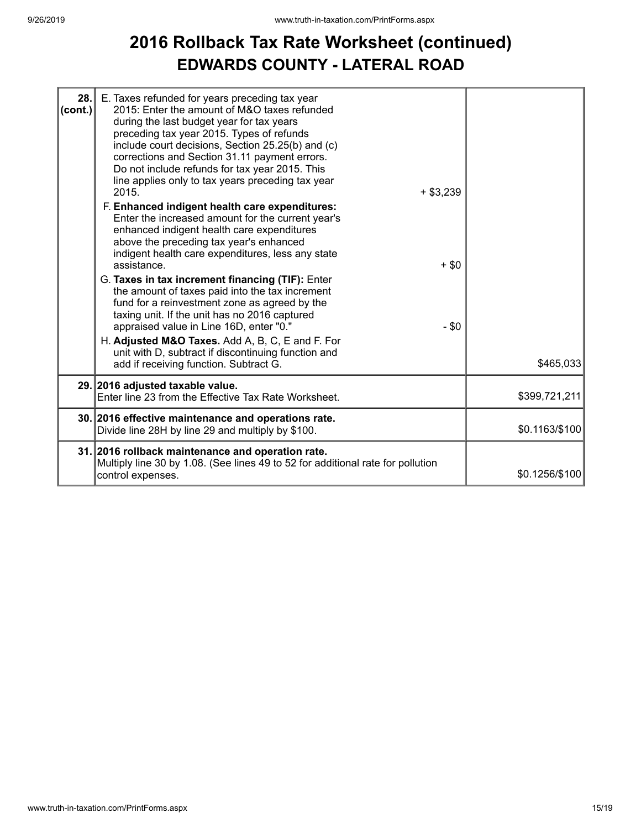#### **2016 Rollback Tax Rate Worksheet (continued) EDWARDS COUNTY - LATERAL ROAD**

| 28.<br>(cont.) | E. Taxes refunded for years preceding tax year<br>2015: Enter the amount of M&O taxes refunded<br>during the last budget year for tax years<br>preceding tax year 2015. Types of refunds<br>include court decisions, Section 25.25(b) and (c)<br>corrections and Section 31.11 payment errors.<br>Do not include refunds for tax year 2015. This<br>line applies only to tax years preceding tax year<br>2015.<br>$+$ \$3,239<br>F. Enhanced indigent health care expenditures:<br>Enter the increased amount for the current year's<br>enhanced indigent health care expenditures<br>above the preceding tax year's enhanced<br>indigent health care expenditures, less any state<br>assistance.<br>G. Taxes in tax increment financing (TIF): Enter<br>the amount of taxes paid into the tax increment<br>fund for a reinvestment zone as agreed by the<br>taxing unit. If the unit has no 2016 captured<br>appraised value in Line 16D, enter "0."<br>H. Adjusted M&O Taxes. Add A, B, C, E and F. For<br>unit with D, subtract if discontinuing function and | $+$ \$0<br>$-$ \$0 |                |
|----------------|------------------------------------------------------------------------------------------------------------------------------------------------------------------------------------------------------------------------------------------------------------------------------------------------------------------------------------------------------------------------------------------------------------------------------------------------------------------------------------------------------------------------------------------------------------------------------------------------------------------------------------------------------------------------------------------------------------------------------------------------------------------------------------------------------------------------------------------------------------------------------------------------------------------------------------------------------------------------------------------------------------------------------------------------------------------|--------------------|----------------|
|                | add if receiving function. Subtract G.                                                                                                                                                                                                                                                                                                                                                                                                                                                                                                                                                                                                                                                                                                                                                                                                                                                                                                                                                                                                                           |                    | \$465,033      |
|                | 29. 2016 adjusted taxable value.<br>Enter line 23 from the Effective Tax Rate Worksheet.                                                                                                                                                                                                                                                                                                                                                                                                                                                                                                                                                                                                                                                                                                                                                                                                                                                                                                                                                                         |                    | \$399,721,211  |
|                | 30. 2016 effective maintenance and operations rate.<br>Divide line 28H by line 29 and multiply by \$100.                                                                                                                                                                                                                                                                                                                                                                                                                                                                                                                                                                                                                                                                                                                                                                                                                                                                                                                                                         |                    | \$0.1163/\$100 |
|                | 31. 2016 rollback maintenance and operation rate.<br>Multiply line 30 by 1.08. (See lines 49 to 52 for additional rate for pollution<br>control expenses.                                                                                                                                                                                                                                                                                                                                                                                                                                                                                                                                                                                                                                                                                                                                                                                                                                                                                                        |                    | \$0.1256/\$100 |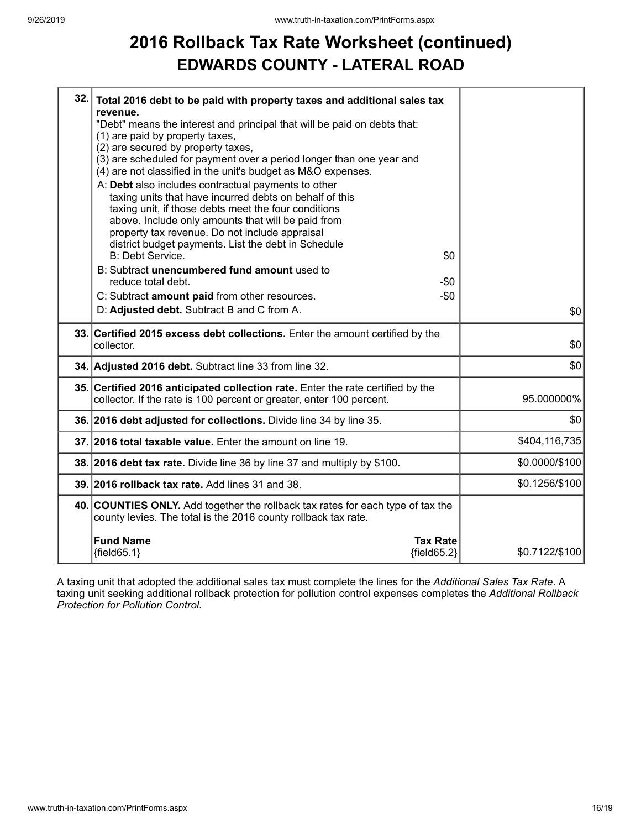#### **2016 Rollback Tax Rate Worksheet (continued) EDWARDS COUNTY - LATERAL ROAD**

| 32. | Total 2016 debt to be paid with property taxes and additional sales tax                                                                           |                |
|-----|---------------------------------------------------------------------------------------------------------------------------------------------------|----------------|
|     | revenue.<br>"Debt" means the interest and principal that will be paid on debts that:                                                              |                |
|     | (1) are paid by property taxes,                                                                                                                   |                |
|     | (2) are secured by property taxes,                                                                                                                |                |
|     | (3) are scheduled for payment over a period longer than one year and<br>(4) are not classified in the unit's budget as M&O expenses.              |                |
|     | A: Debt also includes contractual payments to other                                                                                               |                |
|     | taxing units that have incurred debts on behalf of this                                                                                           |                |
|     | taxing unit, if those debts meet the four conditions                                                                                              |                |
|     | above. Include only amounts that will be paid from                                                                                                |                |
|     | property tax revenue. Do not include appraisal<br>district budget payments. List the debt in Schedule                                             |                |
|     | B: Debt Service.<br>\$0                                                                                                                           |                |
|     | B: Subtract unencumbered fund amount used to                                                                                                      |                |
|     | reduce total debt.<br>-\$0                                                                                                                        |                |
|     | $-$0$<br>C: Subtract amount paid from other resources.                                                                                            |                |
|     | D: Adjusted debt. Subtract B and C from A.                                                                                                        | \$0            |
|     |                                                                                                                                                   |                |
|     | 33. Certified 2015 excess debt collections. Enter the amount certified by the                                                                     |                |
|     | collector.                                                                                                                                        | \$0            |
|     | 34. Adjusted 2016 debt. Subtract line 33 from line 32.                                                                                            | \$0            |
|     | 35. Certified 2016 anticipated collection rate. Enter the rate certified by the                                                                   |                |
|     | collector. If the rate is 100 percent or greater, enter 100 percent.                                                                              | 95.000000%     |
|     | 36. 2016 debt adjusted for collections. Divide line 34 by line 35.                                                                                | \$0            |
|     | 37. 2016 total taxable value. Enter the amount on line 19.                                                                                        | \$404,116,735  |
|     | 38. 2016 debt tax rate. Divide line 36 by line 37 and multiply by \$100.                                                                          | \$0.0000/\$100 |
|     | 39. 2016 rollback tax rate. Add lines 31 and 38.                                                                                                  | \$0.1256/\$100 |
|     | 40. COUNTIES ONLY. Add together the rollback tax rates for each type of tax the<br>county levies. The total is the 2016 county rollback tax rate. |                |
|     |                                                                                                                                                   |                |
|     | <b>Fund Name</b><br><b>Tax Rate</b><br>${fields2}$<br>${fields 5.1}$                                                                              | \$0.7122/\$100 |

A taxing unit that adopted the additional sales tax must complete the lines for the *Additional Sales Tax Rate*. A taxing unit seeking additional rollback protection for pollution control expenses completes the *Additional Rollback Protection for Pollution Control*.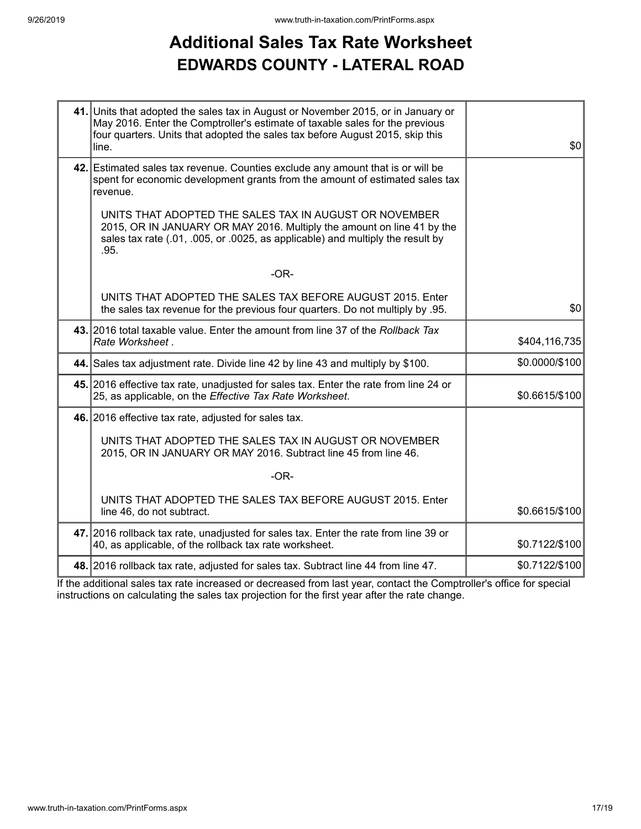## **Additional Sales Tax Rate Worksheet EDWARDS COUNTY - LATERAL ROAD**

| 41. Units that adopted the sales tax in August or November 2015, or in January or<br>May 2016. Enter the Comptroller's estimate of taxable sales for the previous<br>four quarters. Units that adopted the sales tax before August 2015, skip this<br>line. | \$0            |
|-------------------------------------------------------------------------------------------------------------------------------------------------------------------------------------------------------------------------------------------------------------|----------------|
| 42. Estimated sales tax revenue. Counties exclude any amount that is or will be<br>spent for economic development grants from the amount of estimated sales tax<br>revenue.                                                                                 |                |
| UNITS THAT ADOPTED THE SALES TAX IN AUGUST OR NOVEMBER<br>2015, OR IN JANUARY OR MAY 2016. Multiply the amount on line 41 by the<br>sales tax rate (.01, .005, or .0025, as applicable) and multiply the result by<br>.95.                                  |                |
| $-OR-$                                                                                                                                                                                                                                                      |                |
| UNITS THAT ADOPTED THE SALES TAX BEFORE AUGUST 2015. Enter<br>the sales tax revenue for the previous four quarters. Do not multiply by .95.                                                                                                                 | \$0            |
| 43. 2016 total taxable value. Enter the amount from line 37 of the Rollback Tax<br>Rate Worksheet.                                                                                                                                                          | \$404,116,735  |
| 44. Sales tax adjustment rate. Divide line 42 by line 43 and multiply by \$100.                                                                                                                                                                             | \$0.0000/\$100 |
| 45. 2016 effective tax rate, unadjusted for sales tax. Enter the rate from line 24 or<br>25, as applicable, on the Effective Tax Rate Worksheet.                                                                                                            | \$0.6615/\$100 |
| 46. 2016 effective tax rate, adjusted for sales tax.                                                                                                                                                                                                        |                |
| UNITS THAT ADOPTED THE SALES TAX IN AUGUST OR NOVEMBER<br>2015, OR IN JANUARY OR MAY 2016. Subtract line 45 from line 46.                                                                                                                                   |                |
| $-OR-$                                                                                                                                                                                                                                                      |                |
| UNITS THAT ADOPTED THE SALES TAX BEFORE AUGUST 2015. Enter<br>line 46, do not subtract.                                                                                                                                                                     | \$0.6615/\$100 |
| 47. 2016 rollback tax rate, unadjusted for sales tax. Enter the rate from line 39 or<br>40, as applicable, of the rollback tax rate worksheet.                                                                                                              | \$0.7122/\$100 |
| 48. 2016 rollback tax rate, adjusted for sales tax. Subtract line 44 from line 47.                                                                                                                                                                          | \$0.7122/\$100 |

If the additional sales tax rate increased or decreased from last year, contact the Comptroller's office for special instructions on calculating the sales tax projection for the first year after the rate change.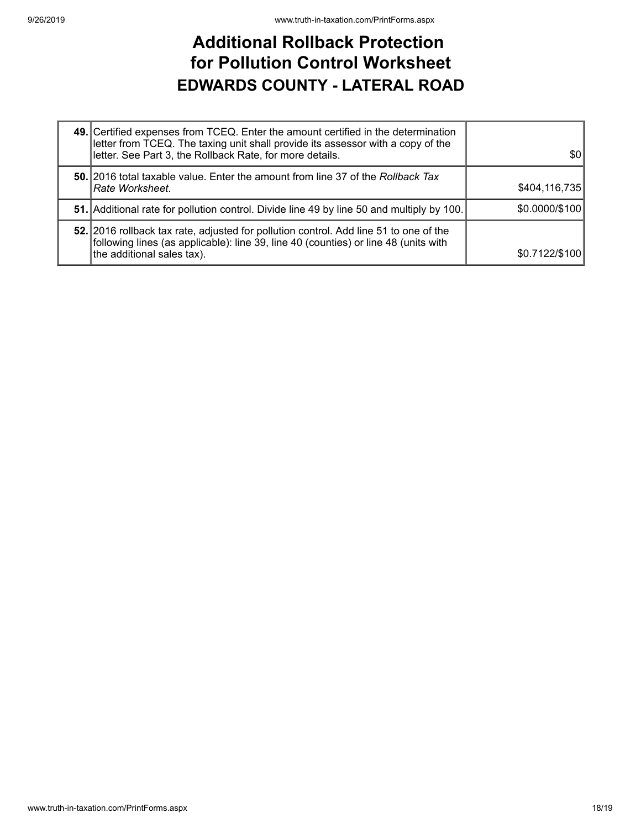#### **Additional Rollback Protection for Pollution Control Worksheet EDWARDS COUNTY - LATERAL ROAD**

| 49. Certified expenses from TCEQ. Enter the amount certified in the determination<br>letter from TCEQ. The taxing unit shall provide its assessor with a copy of the<br>letter. See Part 3, the Rollback Rate, for more details. | \$0            |
|----------------------------------------------------------------------------------------------------------------------------------------------------------------------------------------------------------------------------------|----------------|
| 50. 2016 total taxable value. Enter the amount from line 37 of the Rollback Tax<br> Rate Worksheet.                                                                                                                              | \$404,116,735  |
| 51. Additional rate for pollution control. Divide line 49 by line 50 and multiply by 100.                                                                                                                                        | \$0.0000/\$100 |
| 52. 2016 rollback tax rate, adjusted for pollution control. Add line 51 to one of the<br>following lines (as applicable): line 39, line 40 (counties) or line 48 (units with<br>the additional sales tax).                       | \$0.7122/\$100 |